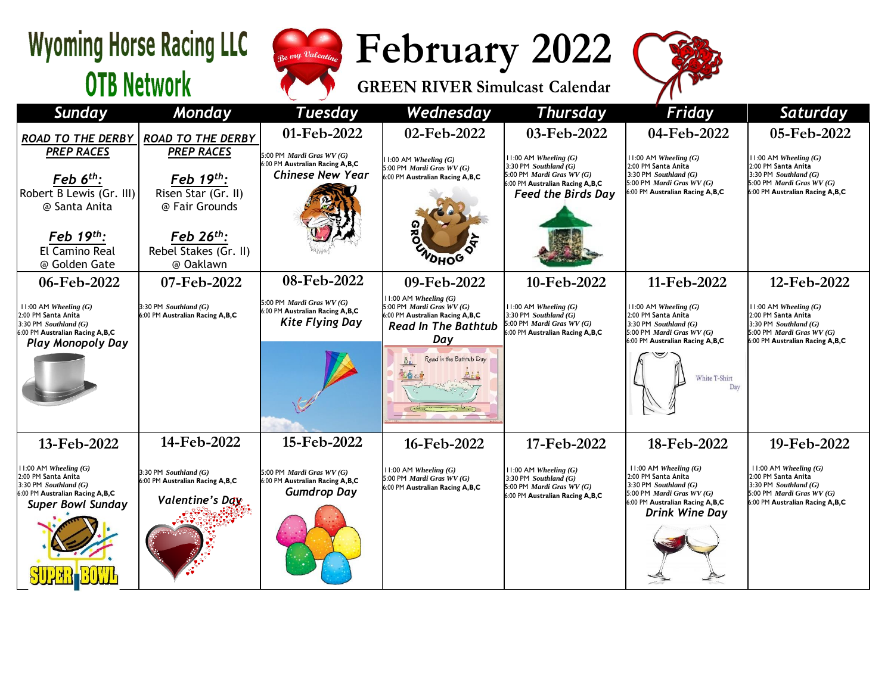## **Wyoming Horse Racing LLC OTB Network**



**February 2022**

**GREEN RIVER Simulcast Calendar**



| <b>Sunday</b>                                                                                                                             | Monday                                                                        | <b>Tuesday</b>                                                                          | Wednesday                                                                                                                      | <b>Thursday</b>                                                                                                                                              | Friday                                                                                                                                                        | Saturday                                                                                                                                          |
|-------------------------------------------------------------------------------------------------------------------------------------------|-------------------------------------------------------------------------------|-----------------------------------------------------------------------------------------|--------------------------------------------------------------------------------------------------------------------------------|--------------------------------------------------------------------------------------------------------------------------------------------------------------|---------------------------------------------------------------------------------------------------------------------------------------------------------------|---------------------------------------------------------------------------------------------------------------------------------------------------|
| <b>ROAD TO THE DERBY</b>                                                                                                                  | <b>ROAD TO THE DERBY</b>                                                      | 01-Feb-2022                                                                             | 02-Feb-2022                                                                                                                    | 03-Feb-2022                                                                                                                                                  | 04-Feb-2022                                                                                                                                                   | 05-Feb-2022                                                                                                                                       |
| <b>PREP RACES</b><br>$\overline{Feb}$ 6 <sup>th</sup> :<br>Robert B Lewis (Gr. III)<br>@ Santa Anita                                      | <b>PREP RACES</b><br>Feb 19th:<br>Risen Star (Gr. II)<br>@ Fair Grounds       | 5:00 PM Mardi Gras WV (G)<br>6:00 PM Australian Racing A,B,C<br><b>Chinese New Year</b> | $11:00$ AM Wheeling $(G)$<br>5:00 PM Mardi Gras WV (G)<br>6:00 PM Australian Racing A,B,C                                      | $11:00$ AM Wheeling $(G)$<br>3:30 PM Southland $(G)$<br>5:00 PM <i>Mardi Gras WV</i> $(G)$<br>6:00 PM Australian Racing A, B, C<br><b>Feed the Birds Day</b> | $11:00$ AM Wheeling $(G)$<br>2:00 PM Santa Anita<br>3:30 PM Southland $(G)$<br>5:00 PM Mardi Gras WV (G)<br>6:00 PM Australian Racing A,B,C                   | $11:00$ AM Wheeling $(G)$<br>2:00 PM Santa Anita<br>3:30 PM $Southland(G)$<br>5:00 PM <i>Mardi Gras WV (G)</i><br>6:00 PM Australian Racing A,B,C |
| Feb $19th$ :<br>El Camino Real<br>@ Golden Gate                                                                                           | Feb $26^{th}$ :<br>Rebel Stakes (Gr. II)<br>@ Oaklawn                         |                                                                                         | <b>VOHOG</b>                                                                                                                   |                                                                                                                                                              |                                                                                                                                                               |                                                                                                                                                   |
| 06-Feb-2022                                                                                                                               | 07-Feb-2022                                                                   | 08-Feb-2022                                                                             | 09-Feb-2022                                                                                                                    | 10-Feb-2022                                                                                                                                                  | 11-Feb-2022                                                                                                                                                   | 12-Feb-2022                                                                                                                                       |
| $11:00$ AM Wheeling $(G)$<br>2:00 PM Santa Anita<br>3:30 PM $Southland(G)$<br>6:00 PM Australian Racing A,B,C<br><b>Play Monopoly Day</b> | 3:30 PM Southland $(G)$<br>6:00 PM Australian Racing A,B,C                    | 5:00 PM Mardi Gras WV (G)<br>6:00 PM Australian Racing A,B,C<br><b>Kite Flying Day</b>  | $11:00$ AM Wheeling $(G)$<br>5:00 PM Mardi Gras WV (G)<br>6:00 PM Australian Racing A,B,C<br><b>Read In The Bathtub</b><br>Day | $11:00$ AM Wheeling $(G)$<br>3:30 PM Southland $(G)$<br>5:00 PM Mardi Gras WV (G)<br>6:00 PM Australian Racing A,B,C                                         | 11:00 AM Wheeling $(G)$<br>2:00 PM Santa Anita<br>3:30 PM Southland $(G)$<br>5:00 PM <i>Mardi Gras WV</i> $(G)$<br>6:00 PM Australian Racing A, B, C          | $11:00$ AM Wheeling $(G)$<br>2:00 PM Santa Anita<br>$3:30$ PM Southland $(G)$<br>5:00 PM Mardi Gras WV (G)<br>6:00 PM Australian Racing A,B,C     |
|                                                                                                                                           |                                                                               |                                                                                         | Read in the Bathtub Day                                                                                                        |                                                                                                                                                              | White T-Shirt<br>Day                                                                                                                                          |                                                                                                                                                   |
| 13-Feb-2022                                                                                                                               | 14-Feb-2022                                                                   | 15-Feb-2022                                                                             | 16-Feb-2022                                                                                                                    | 17-Feb-2022                                                                                                                                                  | 18-Feb-2022                                                                                                                                                   | 19-Feb-2022                                                                                                                                       |
| $11:00$ AM Wheeling $(G)$<br>2:00 PM Santa Anita<br>3:30 PM Southland (G)<br>6:00 PM Australian Racing A,B,C<br><b>Super Bowl Sunday</b>  | 3:30 PM Southland $(G)$<br>6:00 PM Australian Racing A,B,C<br>Valentine's Day | 5:00 PM Mardi Gras WV (G)<br>6:00 PM Australian Racing A,B,C<br><b>Gumdrop Day</b>      | $11:00$ AM Wheeling $(G)$<br>5:00 PM <i>Mardi Gras WV</i> $(G)$<br>6:00 PM Australian Racing A,B,C                             | $11:00$ AM Wheeling $(G)$<br>3:30 PM Southland $(G)$<br>5:00 PM Mardi Gras $WV(G)$<br>6:00 PM Australian Racing A,B,C                                        | $11:00$ AM Wheeling $(G)$<br>2:00 PM Santa Anita<br>3:30 PM Southland $(G)$<br>5:00 PM Mardi Gras WV (G)<br>6:00 PM Australian Racing A,B,C<br>Drink Wine Day | $11:00$ AM Wheeling $(G)$<br>2:00 PM Santa Anita<br>3:30 PM Southland $(G)$<br>5:00 PM Mardi Gras WV (G)<br>6:00 PM Australian Racing A,B,C       |